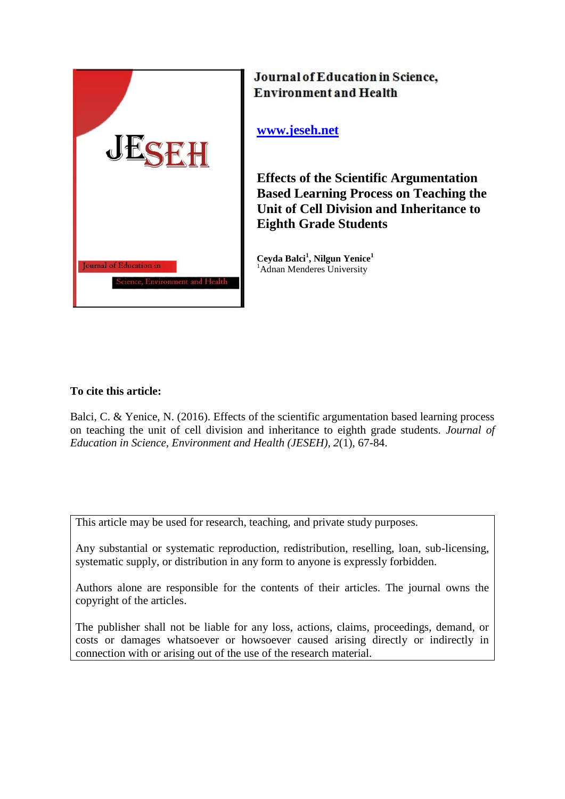

# Journal of Education in Science, **Environment and Health**

**[www.jeseh.net](http://www.jeseh.net/)**

**Effects of the Scientific Argumentation Based Learning Process on Teaching the Unit of Cell Division and Inheritance to Eighth Grade Students** 

**Ceyda Balci<sup>1</sup> , Nilgun Yenice<sup>1</sup>** <sup>1</sup>Adnan Menderes University

# **To cite this article:**

Balci, C. & Yenice, N. (2016). Effects of the scientific argumentation based learning process on teaching the unit of cell division and inheritance to eighth grade students. *Journal of Education in Science, Environment and Health (JESEH), 2*(1), 67-84.

This article may be used for research, teaching, and private study purposes.

Any substantial or systematic reproduction, redistribution, reselling, loan, sub-licensing, systematic supply, or distribution in any form to anyone is expressly forbidden.

Authors alone are responsible for the contents of their articles. The journal owns the copyright of the articles.

The publisher shall not be liable for any loss, actions, claims, proceedings, demand, or costs or damages whatsoever or howsoever caused arising directly or indirectly in connection with or arising out of the use of the research material.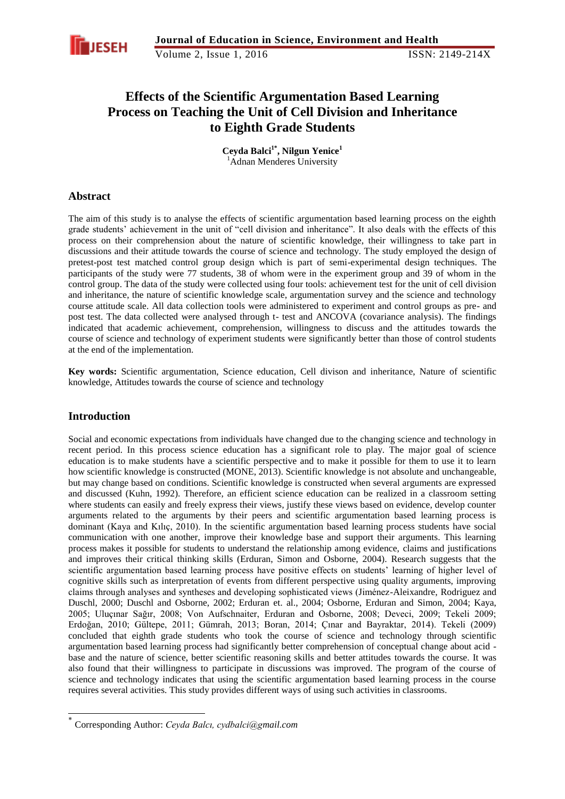

# **Effects of the Scientific Argumentation Based Learning Process on Teaching the Unit of Cell Division and Inheritance to Eighth Grade Students**

**Ceyda Balci 1\* , Nilgun Yenice<sup>1</sup>** <sup>1</sup>Adnan Menderes University

### **Abstract**

The aim of this study is to analyse the effects of scientific argumentation based learning process on the eighth grade students' achievement in the unit of "cell division and inheritance". It also deals with the effects of this process on their comprehension about the nature of scientific knowledge, their willingness to take part in discussions and their attitude towards the course of science and technology. The study employed the design of pretest-post test matched control group design which is part of semi-experimental design techniques. The participants of the study were 77 students, 38 of whom were in the experiment group and 39 of whom in the control group. The data of the study were collected using four tools: achievement test for the unit of cell division and inheritance, the nature of scientific knowledge scale, argumentation survey and the science and technology course attitude scale. All data collection tools were administered to experiment and control groups as pre- and post test. The data collected were analysed through t- test and ANCOVA (covariance analysis). The findings indicated that academic achievement, comprehension, willingness to discuss and the attitudes towards the course of science and technology of experiment students were significantly better than those of control students at the end of the implementation.

**Key words:** Scientific argumentation, Science education, Cell divison and inheritance, Nature of scientific knowledge, Attitudes towards the course of science and technology

# **Introduction**

-

Social and economic expectations from individuals have changed due to the changing science and technology in recent period. In this process science education has a significant role to play. The major goal of science education is to make students have a scientific perspective and to make it possible for them to use it to learn how scientific knowledge is constructed (MONE, 2013). Scientific knowledge is not absolute and unchangeable, but may change based on conditions. Scientific knowledge is constructed when several arguments are expressed and discussed (Kuhn, 1992). Therefore, an efficient science education can be realized in a classroom setting where students can easily and freely express their views, justify these views based on evidence, develop counter arguments related to the arguments by their peers and scientific argumentation based learning process is dominant (Kaya and Kılıç, 2010). In the scientific argumentation based learning process students have social communication with one another, improve their knowledge base and support their arguments. This learning process makes it possible for students to understand the relationship among evidence, claims and justifications and improves their critical thinking skills (Erduran, Simon and Osborne, 2004). Research suggests that the scientific argumentation based learning process have positive effects on students' learning of higher level of cognitive skills such as interpretation of events from different perspective using quality arguments, improving claims through analyses and syntheses and developing sophisticated views (Jiménez-Aleixandre, Rodriguez and Duschl, 2000; Duschl and Osborne, 2002; Erduran et. al., 2004; Osborne, Erduran and Simon, 2004; Kaya, 2005; Uluçınar Sağır, 2008; Von Aufschnaiter, Erduran and Osborne, 2008; Deveci, 2009; Tekeli 2009; Erdoğan, 2010; Gültepe, 2011; Gümrah, 2013; Boran, 2014; Çınar and Bayraktar, 2014). Tekeli (2009) concluded that eighth grade students who took the course of science and technology through scientific argumentation based learning process had significantly better comprehension of conceptual change about acid base and the nature of science, better scientific reasoning skills and better attitudes towards the course. It was also found that their willingness to participate in discussions was improved. The program of the course of science and technology indicates that using the scientific argumentation based learning process in the course requires several activities. This study provides different ways of using such activities in classrooms.

<sup>\*</sup> Corresponding Author: *Ceyda Balcı, cydbalci@gmail.com*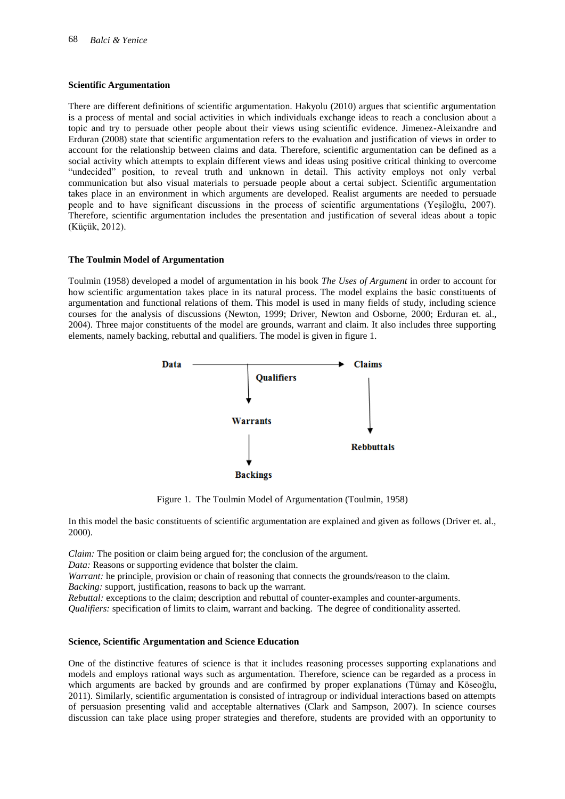#### **Scientific Argumentation**

There are different definitions of scientific argumentation. Hakyolu (2010) argues that scientific argumentation is a process of mental and social activities in which individuals exchange ideas to reach a conclusion about a topic and try to persuade other people about their views using scientific evidence. Jimenez-Aleixandre and Erduran (2008) state that scientific argumentation refers to the evaluation and justification of views in order to account for the relationship between claims and data. Therefore, scientific argumentation can be defined as a social activity which attempts to explain different views and ideas using positive critical thinking to overcome "undecided" position, to reveal truth and unknown in detail. This activity employs not only verbal communication but also visual materials to persuade people about a certai subject. Scientific argumentation takes place in an environment in which arguments are developed. Realist arguments are needed to persuade people and to have significant discussions in the process of scientific argumentations (Yeşiloğlu, 2007). Therefore, scientific argumentation includes the presentation and justification of several ideas about a topic (Küçük, 2012).

#### **The Toulmin Model of Argumentation**

Toulmin (1958) developed a model of argumentation in his book *The Uses of Argument* in order to account for how scientific argumentation takes place in its natural process. The model explains the basic constituents of argumentation and functional relations of them. This model is used in many fields of study, including science courses for the analysis of discussions (Newton, 1999; Driver, Newton and Osborne, 2000; Erduran et. al., 2004). Three major constituents of the model are grounds, warrant and claim. It also includes three supporting elements, namely backing, rebuttal and qualifiers. The model is given in figure 1.



Figure 1. The Toulmin Model of Argumentation (Toulmin, 1958)

In this model the basic constituents of scientific argumentation are explained and given as follows (Driver et. al., 2000).

*Claim:* The position or claim being argued for; the conclusion of the argument.

*Data:* Reasons or supporting evidence that bolster the claim.

*Warrant:* he principle, provision or chain of reasoning that connects the grounds/reason to the claim.

*Backing:* support, justification, reasons to back up the warrant.

*Rebuttal:* exceptions to the claim; description and rebuttal of counter-examples and counter-arguments. *Qualifiers:* specification of limits to claim, warrant and backing. The degree of conditionality asserted.

#### **Science, Scientific Argumentation and Science Education**

One of the distinctive features of science is that it includes reasoning processes supporting explanations and models and employs rational ways such as argumentation. Therefore, science can be regarded as a process in which arguments are backed by grounds and are confirmed by proper explanations (Tümay and Köseoğlu, 2011). Similarly, scientific argumentation is consisted of intragroup or individual interactions based on attempts of persuasion presenting valid and acceptable alternatives (Clark and Sampson, 2007). In science courses discussion can take place using proper strategies and therefore, students are provided with an opportunity to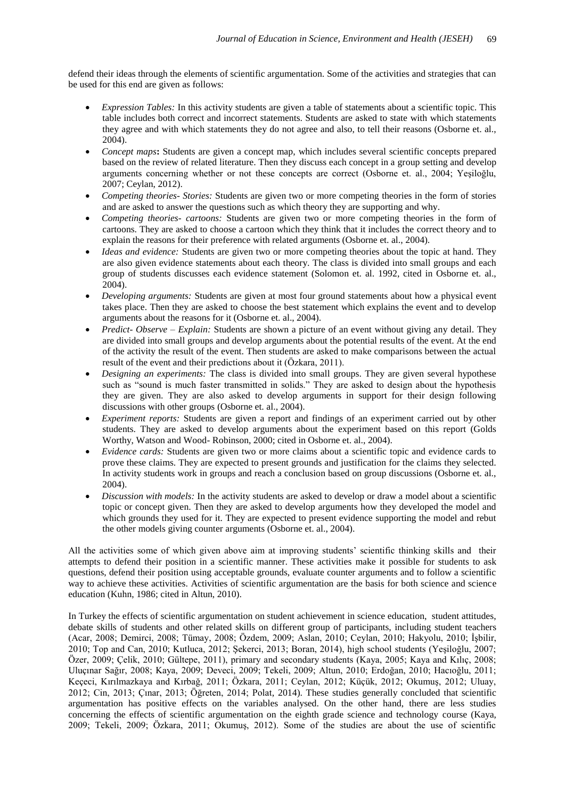defend their ideas through the elements of scientific argumentation. Some of the activities and strategies that can be used for this end are given as follows:

- *Expression Tables:* In this activity students are given a table of statements about a scientific topic. This table includes both correct and incorrect statements. Students are asked to state with which statements they agree and with which statements they do not agree and also, to tell their reasons (Osborne et. al., 2004).
- *Concept maps***:** Students are given a concept map, which includes several scientific concepts prepared based on the review of related literature. Then they discuss each concept in a group setting and develop arguments concerning whether or not these concepts are correct (Osborne et. al., 2004; Yeşiloğlu, 2007; Ceylan, 2012).
- *Competing theories- Stories:* Students are given two or more competing theories in the form of stories and are asked to answer the questions such as which theory they are supporting and why.
- *Competing theories- cartoons:* Students are given two or more competing theories in the form of cartoons. They are asked to choose a cartoon which they think that it includes the correct theory and to explain the reasons for their preference with related arguments (Osborne et. al., 2004).
- *Ideas and evidence:* Students are given two or more competing theories about the topic at hand. They are also given evidence statements about each theory. The class is divided into small groups and each group of students discusses each evidence statement (Solomon et. al. 1992, cited in Osborne et. al., 2004).
- *Developing arguments:* Students are given at most four ground statements about how a physical event takes place. Then they are asked to choose the best statement which explains the event and to develop arguments about the reasons for it (Osborne et. al., 2004).
- *Predict- Observe – Explain:* Students are shown a picture of an event without giving any detail. They are divided into small groups and develop arguments about the potential results of the event. At the end of the activity the result of the event. Then students are asked to make comparisons between the actual result of the event and their predictions about it (Özkara, 2011).
- *Designing an experiments:* The class is divided into small groups. They are given several hypothese such as "sound is much faster transmitted in solids." They are asked to design about the hypothesis they are given. They are also asked to develop arguments in support for their design following discussions with other groups (Osborne et. al., 2004).
- *Experiment reports:* Students are given a report and findings of an experiment carried out by other students. They are asked to develop arguments about the experiment based on this report (Golds Worthy, Watson and Wood- Robinson, 2000; cited in Osborne et. al., 2004).
- *Evidence cards:* Students are given two or more claims about a scientific topic and evidence cards to prove these claims. They are expected to present grounds and justification for the claims they selected. In activity students work in groups and reach a conclusion based on group discussions (Osborne et. al., 2004).
- *Discussion with models:* In the activity students are asked to develop or draw a model about a scientific topic or concept given. Then they are asked to develop arguments how they developed the model and which grounds they used for it. They are expected to present evidence supporting the model and rebut the other models giving counter arguments (Osborne et. al., 2004).

All the activities some of which given above aim at improving students' scientific thinking skills and their attempts to defend their position in a scientific manner. These activities make it possible for students to ask questions, defend their position using acceptable grounds, evaluate counter arguments and to follow a scientific way to achieve these activities. Activities of scientific argumentation are the basis for both science and science education (Kuhn, 1986; cited in Altun, 2010).

In Turkey the effects of scientific argumentation on student achievement in science education, student attitudes, debate skills of students and other related skills on different group of participants, including student teachers (Acar, 2008; Demirci, 2008; Tümay, 2008; Özdem, 2009; Aslan, 2010; Ceylan, 2010; Hakyolu, 2010; İşbilir, 2010; Top and Can, 2010; Kutluca, 2012; Şekerci, 2013; Boran, 2014), high school students (Yeşiloğlu, 2007; Özer, 2009; Çelik, 2010; Gültepe, 2011), primary and secondary students (Kaya, 2005; Kaya and Kılıç, 2008; Uluçınar Sağır, 2008; Kaya, 2009; Deveci, 2009; Tekeli, 2009; Altun, 2010; Erdoğan, 2010; Hacıoğlu, 2011; Keçeci, Kırılmazkaya and Kırbağ, 2011; Özkara, 2011; Ceylan, 2012; Küçük, 2012; Okumuş, 2012; Uluay, 2012; Cin, 2013; Çınar, 2013; Öğreten, 2014; Polat, 2014). These studies generally concluded that scientific argumentation has positive effects on the variables analysed. On the other hand, there are less studies concerning the effects of scientific argumentation on the eighth grade science and technology course (Kaya, 2009; Tekeli, 2009; Özkara, 2011; Okumuş, 2012). Some of the studies are about the use of scientific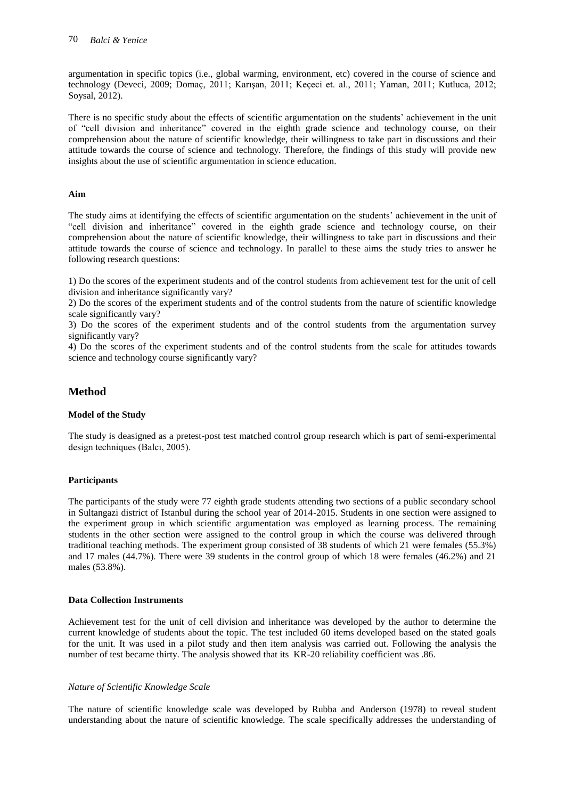argumentation in specific topics (i.e., global warming, environment, etc) covered in the course of science and technology (Deveci, 2009; Domaç, 2011; Karışan, 2011; Keçeci et. al., 2011; Yaman, 2011; Kutluca, 2012; Soysal, 2012).

There is no specific study about the effects of scientific argumentation on the students' achievement in the unit of "cell division and inheritance" covered in the eighth grade science and technology course, on their comprehension about the nature of scientific knowledge, their willingness to take part in discussions and their attitude towards the course of science and technology. Therefore, the findings of this study will provide new insights about the use of scientific argumentation in science education.

#### **Aim**

The study aims at identifying the effects of scientific argumentation on the students' achievement in the unit of "cell division and inheritance" covered in the eighth grade science and technology course, on their comprehension about the nature of scientific knowledge, their willingness to take part in discussions and their attitude towards the course of science and technology. In parallel to these aims the study tries to answer he following research questions:

1) Do the scores of the experiment students and of the control students from achievement test for the unit of cell division and inheritance significantly vary?

2) Do the scores of the experiment students and of the control students from the nature of scientific knowledge scale significantly vary?

3) Do the scores of the experiment students and of the control students from the argumentation survey significantly vary?

4) Do the scores of the experiment students and of the control students from the scale for attitudes towards science and technology course significantly vary?

# **Method**

#### **Model of the Study**

The study is deasigned as a pretest-post test matched control group research which is part of semi-experimental design techniques (Balcı, 2005).

#### **Participants**

The participants of the study were 77 eighth grade students attending two sections of a public secondary school in Sultangazi district of Istanbul during the school year of 2014-2015. Students in one section were assigned to the experiment group in which scientific argumentation was employed as learning process. The remaining students in the other section were assigned to the control group in which the course was delivered through traditional teaching methods. The experiment group consisted of 38 students of which 21 were females (55.3%) and 17 males (44.7%). There were 39 students in the control group of which 18 were females (46.2%) and 21 males (53.8%).

#### **Data Collection Instruments**

Achievement test for the unit of cell division and inheritance was developed by the author to determine the current knowledge of students about the topic. The test included 60 items developed based on the stated goals for the unit. It was used in a pilot study and then item analysis was carried out. Following the analysis the number of test became thirty. The analysis showed that its KR-20 reliability coefficient was .86.

#### *Nature of Scientific Knowledge Scale*

The nature of scientific knowledge scale was developed by Rubba and Anderson (1978) to reveal student understanding about the nature of scientific knowledge. The scale specifically addresses the understanding of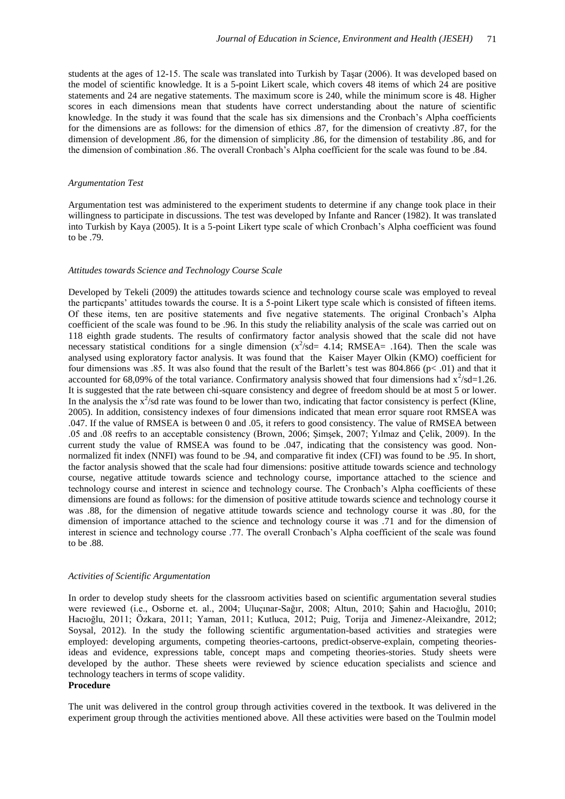students at the ages of 12-15. The scale was translated into Turkish by Taşar (2006). It was developed based on the model of scientific knowledge. It is a 5-point Likert scale, which covers 48 items of which 24 are positive statements and 24 are negative statements. The maximum score is 240, while the minimum score is 48. Higher scores in each dimensions mean that students have correct understanding about the nature of scientific knowledge. In the study it was found that the scale has six dimensions and the Cronbach's Alpha coefficients for the dimensions are as follows: for the dimension of ethics .87, for the dimension of creativty .87, for the dimension of development .86, for the dimension of simplicity .86, for the dimension of testability .86, and for the dimension of combination .86. The overall Cronbach's Alpha coefficient for the scale was found to be .84.

#### *Argumentation Test*

Argumentation test was administered to the experiment students to determine if any change took place in their willingness to participate in discussions. The test was developed by Infante and Rancer (1982). It was translated into Turkish by Kaya (2005). It is a 5-point Likert type scale of which Cronbach's Alpha coefficient was found to be .79.

#### *Attitudes towards Science and Technology Course Scale*

Developed by Tekeli (2009) the attitudes towards science and technology course scale was employed to reveal the particpants' attitudes towards the course. It is a 5-point Likert type scale which is consisted of fifteen items. Of these items, ten are positive statements and five negative statements. The original Cronbach's Alpha coefficient of the scale was found to be .96. In this study the reliability analysis of the scale was carried out on 118 eighth grade students. The results of confirmatory factor analysis showed that the scale did not have necessary statistical conditions for a single dimension  $(x^2$ /sd= 4.14; RMSEA= .164). Then the scale was analysed using exploratory factor analysis. It was found that the Kaiser Mayer Olkin (KMO) coefficient for four dimensions was .85. It was also found that the result of the Barlett's test was 804.866 (p< .01) and that it accounted for 68,09% of the total variance. Confirmatory analysis showed that four dimensions had  $x^2$ /sd=1.26. It is suggested that the rate between chi-square consistency and degree of freedom should be at most 5 or lower. In the analysis the  $x^2$ /sd rate was found to be lower than two, indicating that factor consistency is perfect (Kline, 2005). In addition, consistency indexes of four dimensions indicated that mean error square root RMSEA was .047. If the value of RMSEA is between 0 and .05, it refers to good consistency. The value of RMSEA between .05 and .08 reefrs to an acceptable consistency (Brown, 2006; Şimşek, 2007; Yılmaz and Çelik, 2009). In the current study the value of RMSEA was found to be .047, indicating that the consistency was good. Nonnormalized fit index (NNFI) was found to be .94, and comparative fit index (CFI) was found to be .95. In short, the factor analysis showed that the scale had four dimensions: positive attitude towards science and technology course, negative attitude towards science and technology course, importance attached to the science and technology course and interest in science and technology course. The Cronbach's Alpha coefficients of these dimensions are found as follows: for the dimension of positive attitude towards science and technology course it was .88, for the dimension of negative attitude towards science and technology course it was .80, for the dimension of importance attached to the science and technology course it was .71 and for the dimension of interest in science and technology course .77. The overall Cronbach's Alpha coefficient of the scale was found to be .88.

#### *Activities of Scientific Argumentation*

In order to develop study sheets for the classroom activities based on scientific argumentation several studies were reviewed (i.e., Osborne et. al., 2004; Uluçınar-Sağır, 2008; Altun, 2010; Şahin and Hacıoğlu, 2010; Hacıoğlu, 2011; Özkara, 2011; Yaman, 2011; Kutluca, 2012; Puig, Torija and Jimenez-Aleixandre, 2012; Soysal, 2012). In the study the following scientific argumentation-based activities and strategies were employed: developing arguments, competing theories-cartoons, predict-observe-explain, competing theoriesideas and evidence, expressions table, concept maps and competing theories-stories. Study sheets were developed by the author. These sheets were reviewed by science education specialists and science and technology teachers in terms of scope validity.

# **Procedure**

The unit was delivered in the control group through activities covered in the textbook. It was delivered in the experiment group through the activities mentioned above. All these activities were based on the Toulmin model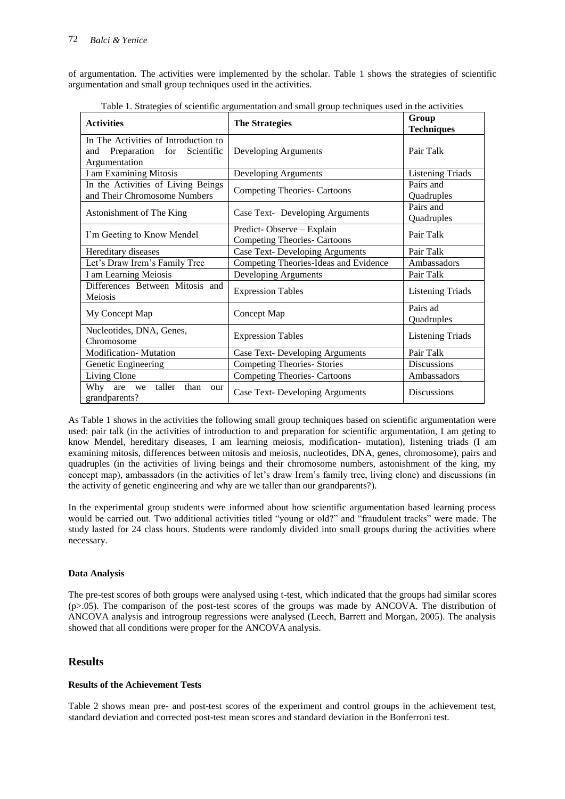of argumentation. The activities were implemented by the scholar. Table 1 shows the strategies of scientific argumentation and small group techniques used in the activities.

| <b>Activities</b>                                                                       | <b>The Strategies</b>                                            | Group<br><b>Techniques</b> |
|-----------------------------------------------------------------------------------------|------------------------------------------------------------------|----------------------------|
| In The Activities of Introduction to<br>and Preparation for Scientific<br>Argumentation | Developing Arguments                                             | Pair Talk                  |
| I am Examining Mitosis                                                                  | Developing Arguments                                             | <b>Listening Triads</b>    |
| In the Activities of Living Beings<br>and Their Chromosome Numbers                      | <b>Competing Theories- Cartoons</b>                              | Pairs and<br>Quadruples    |
| Astonishment of The King                                                                | Case Text- Developing Arguments                                  | Pairs and<br>Quadruples    |
| I'm Geeting to Know Mendel                                                              | Predict-Observe - Explain<br><b>Competing Theories- Cartoons</b> | Pair Talk                  |
| Hereditary diseases                                                                     | <b>Case Text- Developing Arguments</b>                           | Pair Talk                  |
| Let's Draw Irem's Family Tree                                                           | Competing Theories-Ideas and Evidence                            | Ambassadors                |
| I am Learning Meiosis                                                                   | Developing Arguments                                             | Pair Talk                  |
| Differences Between Mitosis and<br>Meiosis                                              | <b>Expression Tables</b>                                         | <b>Listening Triads</b>    |
| My Concept Map                                                                          | Concept Map                                                      | Pairs ad<br>Quadruples     |
| Nucleotides, DNA, Genes,<br>Chromosome                                                  | <b>Expression Tables</b>                                         | <b>Listening Triads</b>    |
| <b>Modification-Mutation</b>                                                            | <b>Case Text- Developing Arguments</b>                           | Pair Talk                  |
| Genetic Engineering                                                                     | <b>Competing Theories- Stories</b>                               | <b>Discussions</b>         |
| Living Clone                                                                            | <b>Competing Theories- Cartoons</b>                              | Ambassadors                |
| Why are we taller<br>than<br>our<br>grandparents?                                       | <b>Case Text- Developing Arguments</b>                           | Discussions                |

Table 1. Strategies of scientific argumentation and small group techniques used in the activities

As Table 1 shows in the activities the following small group techniques based on scientific argumentation were used: pair talk (in the activities of introduction to and preparation for scientific argumentation, I am geting to know Mendel, hereditary diseases, I am learning meiosis, modification- mutation), listening triads (I am examining mitosis, differences between mitosis and meiosis, nucleotides, DNA, genes, chromosome), pairs and quadruples (in the activities of living beings and their chromosome numbers, astonishment of the king, my concept map), ambassadors (in the activities of let's draw Irem's family tree, living clone) and discussions (in the activity of genetic engineering and why are we taller than our grandparents?).

In the experimental group students were informed about how scientific argumentation based learning process would be carried out. Two additional activities titled "young or old?" and "fraudulent tracks" were made. The study lasted for 24 class hours. Students were randomly divided into small groups during the activities where necessary.

#### **Data Analysis**

The pre-test scores of both groups were analysed using t-test, which indicated that the groups had similar scores (p>.05). The comparison of the post-test scores of the groups was made by ANCOVA. The distribution of ANCOVA analysis and introgroup regressions were analysed (Leech, Barrett and Morgan, 2005). The analysis showed that all conditions were proper for the ANCOVA analysis.

# **Results**

#### **Results of the Achievement Tests**

Table 2 shows mean pre- and post-test scores of the experiment and control groups in the achievement test, standard deviation and corrected post-test mean scores and standard deviation in the Bonferroni test.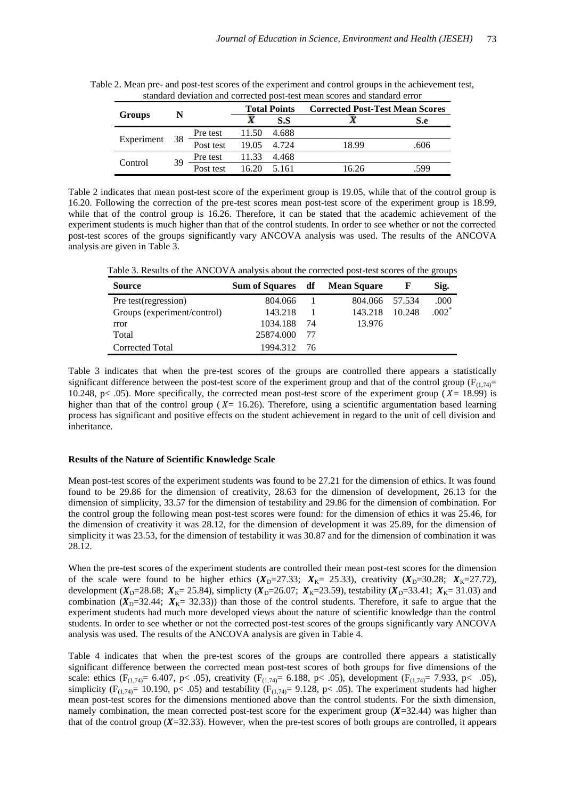|                    | suindard deviation and corrected post-test mean scores and standard crior |           |                     |             |                                        |      |  |
|--------------------|---------------------------------------------------------------------------|-----------|---------------------|-------------|----------------------------------------|------|--|
| <b>Groups</b><br>N |                                                                           |           | <b>Total Points</b> |             | <b>Corrected Post-Test Mean Scores</b> |      |  |
|                    |                                                                           |           |                     | S.S         |                                        | S.e  |  |
|                    |                                                                           | Pre test  | 11.50               | 4.688       |                                        |      |  |
| Experiment         | - 38                                                                      | Post test |                     | 19.05 4.724 | 18.99                                  | .606 |  |
|                    | 39<br>Control                                                             | Pre test  | 11.33 4.468         |             |                                        |      |  |
|                    |                                                                           | Post test | 16.20               | 5.161       | 16.26                                  | .599 |  |

Table 2. Mean pre- and post-test scores of the experiment and control groups in the achievement test, standard deviation and corrected post-test mean scores and standard error

Table 2 indicates that mean post-test score of the experiment group is 19.05, while that of the control group is 16.20. Following the correction of the pre-test scores mean post-test score of the experiment group is 18.99, while that of the control group is 16.26. Therefore, it can be stated that the academic achievement of the experiment students is much higher than that of the control students. In order to see whether or not the corrected post-test scores of the groups significantly vary ANCOVA analysis was used. The results of the ANCOVA analysis are given in Table 3.

Table 3. Results of the ANCOVA analysis about the corrected post-test scores of the groups

| <b>Source</b>               | Sum of Squares df |    | <b>Mean Square</b> |        | Sig.                |
|-----------------------------|-------------------|----|--------------------|--------|---------------------|
| Pre test(regression)        | 804.066           |    | 804.066 57.534     |        | .000                |
| Groups (experiment/control) | 143.218           |    | 143.218            | 10.248 | $.002$ <sup>*</sup> |
| rror                        | 1034.188          | 74 | 13.976             |        |                     |
| Total                       | 25874.000         | 77 |                    |        |                     |
| Corrected Total             | 1994.312          | 76 |                    |        |                     |

Table 3 indicates that when the pre-test scores of the groups are controlled there appears a statistically significant difference between the post-test score of the experiment group and that of the control group ( $F_{(1,74)}=$ 10.248, p< .05). More specifically, the corrected mean post-test score of the experiment group ( $X = 18.99$ ) is higher than that of the control group ( $X = 16.26$ ). Therefore, using a scientific argumentation based learning process has significant and positive effects on the student achievement in regard to the unit of cell division and inheritance.

#### **Results of the Nature of Scientific Knowledge Scale**

Mean post-test scores of the experiment students was found to be 27.21 for the dimension of ethics. It was found found to be 29.86 for the dimension of creativity, 28.63 for the dimension of development, 26.13 for the dimension of simplicity, 33.57 for the dimension of testability and 29.86 for the dimension of combination. For the control group the following mean post-test scores were found: for the dimension of ethics it was 25.46, for the dimension of creativity it was 28.12, for the dimension of development it was 25.89, for the dimension of simplicity it was 23.53, for the dimension of testability it was 30.87 and for the dimension of combination it was 28.12.

When the pre-test scores of the experiment students are controlled their mean post-test scores for the dimension of the scale were found to be higher ethics  $(X<sub>D</sub>=27.33; X<sub>K</sub>=25.33)$ , creativity  $(X<sub>D</sub>=30.28; X<sub>K</sub>=27.72)$ , development ( $X_{D}$ =28.68;  $X_{K}$ = 25.84), simplicty ( $X_{D}$ =26.07;  $X_{K}$ =23.59), testability ( $X_{D}$ =33.41;  $X_{K}$ = 31.03) and combination ( $X_{D}=32.44$ ;  $X_{K}=32.33$ )) than those of the control students. Therefore, it safe to argue that the experiment students had much more developed views about the nature of scientific knowledge than the control students. In order to see whether or not the corrected post-test scores of the groups significantly vary ANCOVA analysis was used. The results of the ANCOVA analysis are given in Table 4.

Table 4 indicates that when the pre-test scores of the groups are controlled there appears a statistically significant difference between the corrected mean post-test scores of both groups for five dimensions of the scale: ethics (F<sub>(1,74)</sub> = 6.407, p < .05), creativity (F<sub>(1,74)</sub> = 6.188, p < .05), development (F<sub>(1,74)</sub> = 7.933, p < .05), simplicity (F<sub>(1,74)</sub>= 10.190, p < .05) and testability (F<sub>(1,74)</sub>= 9.128, p < .05). The experiment students had higher mean post-test scores for the dimensions mentioned above than the control students. For the sixth dimension, namely combination, the mean corrected post-test score for the experiment group  $(X=32.44)$  was higher than that of the control group ( $X=32.33$ ). However, when the pre-test scores of both groups are controlled, it appears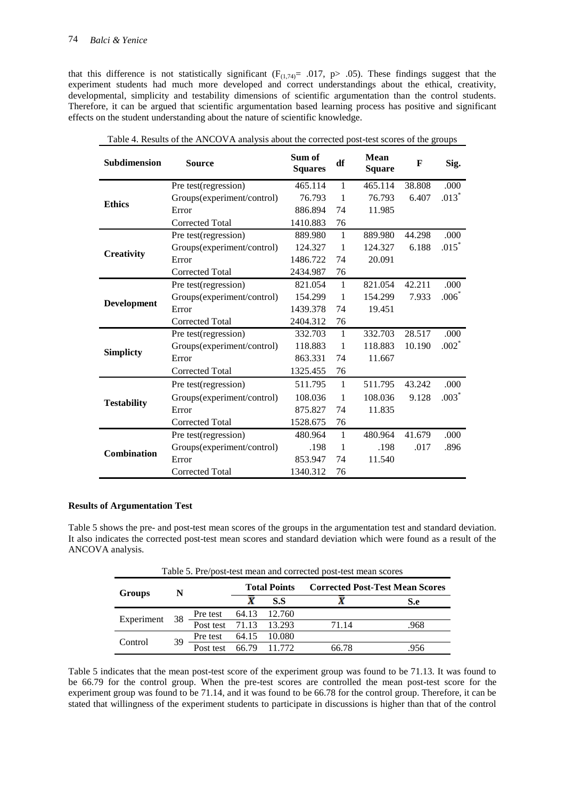that this difference is not statistically significant ( $F_{(1,74)}$ = .017, p> .05). These findings suggest that the experiment students had much more developed and correct understandings about the ethical, creativity, developmental, simplicity and testability dimensions of scientific argumentation than the control students. Therefore, it can be argued that scientific argumentation based learning process has positive and significant effects on the student understanding about the nature of scientific knowledge.

| Subdimension       | <b>Source</b>              | Sum of<br><b>Squares</b> | df             | <b>Mean</b><br><b>Square</b> | $\mathbf F$ | Sig.    |
|--------------------|----------------------------|--------------------------|----------------|------------------------------|-------------|---------|
|                    | Pre test(regression)       | 465.114                  | $\mathbf{1}$   | 465.114                      | 38.808      | .000    |
| <b>Ethics</b>      | Groups(experiment/control) | 76.793                   | $\mathbf{1}$   | 76.793                       | 6.407       | $.013*$ |
|                    | Error                      | 886.894                  | 74             | 11.985                       |             |         |
|                    | Corrected Total            | 1410.883                 | 76             |                              |             |         |
|                    | Pre test(regression)       | 889.980                  | $\mathbf{1}$   | 889.980                      | 44.298      | .000    |
|                    | Groups(experiment/control) | 124.327                  | 1              | 124.327                      | 6.188       | $.015*$ |
| <b>Creativity</b>  | Error                      | 1486.722                 | 74             | 20.091                       |             |         |
|                    | <b>Corrected Total</b>     | 2434.987                 | 76             |                              |             |         |
|                    | Pre test(regression)       | 821.054                  | $\mathbf{1}$   | 821.054                      | 42.211      | .000    |
|                    | Groups(experiment/control) | 154.299                  | -1             | 154.299                      | 7.933       | $.006*$ |
| Development        | Error                      | 1439.378                 | 74             | 19.451                       |             |         |
|                    | Corrected Total            | 2404.312                 | 76             |                              |             |         |
|                    | Pre test(regression)       | 332.703                  | $\mathbf{1}$   | 332.703                      | 28.517      | .000    |
|                    | Groups(experiment/control) | 118.883                  | 1              | 118.883                      | 10.190      | $.002*$ |
| <b>Simplicty</b>   | Error                      | 863.331                  | 74             | 11.667                       |             |         |
|                    | <b>Corrected Total</b>     | 1325.455                 | 76             |                              |             |         |
|                    | Pre test(regression)       | 511.795                  | $\mathbf{1}$   | 511.795                      | 43.242      | .000    |
| <b>Testability</b> | Groups(experiment/control) | 108.036                  | $\overline{1}$ | 108.036                      | 9.128       | $.003*$ |
|                    | Error                      | 875.827                  | 74             | 11.835                       |             |         |
|                    | <b>Corrected Total</b>     | 1528.675                 | 76             |                              |             |         |
|                    | Pre test(regression)       | 480.964                  | -1             | 480.964                      | 41.679      | .000    |
|                    | Groups(experiment/control) | .198                     | -1             | .198                         | .017        | .896    |
| <b>Combination</b> | Error                      | 853.947                  | 74             | 11.540                       |             |         |
|                    | <b>Corrected Total</b>     | 1340.312                 | 76             |                              |             |         |

Table 4. Results of the ANCOVA analysis about the corrected post-test scores of the groups

# **Results of Argumentation Test**

Table 5 shows the pre- and post-test mean scores of the groups in the argumentation test and standard deviation. It also indicates the corrected post-test mean scores and standard deviation which were found as a result of the ANCOVA analysis.

|                    | Table 5. I Tempost-test fileall and corrected post-test fileall scores |                                                 |                     |     |                                        |      |
|--------------------|------------------------------------------------------------------------|-------------------------------------------------|---------------------|-----|----------------------------------------|------|
| Groups             | N                                                                      |                                                 | <b>Total Points</b> |     | <b>Corrected Post-Test Mean Scores</b> |      |
|                    |                                                                        |                                                 |                     | S.S |                                        | S.e  |
| - 38<br>Experiment |                                                                        | Pre test 64.13 12.760<br>Post test 71.13 13.293 |                     |     |                                        |      |
|                    |                                                                        |                                                 |                     |     | 71.14                                  | .968 |
| Control            | 39                                                                     | Pre test 64.15 10.080                           |                     |     |                                        |      |
|                    |                                                                        | Post test 66.79 11.772                          |                     |     | 66.78                                  | .956 |

Table 5. Pre/post-test mean and corrected post-test mean scores

Table 5 indicates that the mean post-test score of the experiment group was found to be 71.13. It was found to be 66.79 for the control group. When the pre-test scores are controlled the mean post-test score for the experiment group was found to be 71.14, and it was found to be 66.78 for the control group. Therefore, it can be stated that willingness of the experiment students to participate in discussions is higher than that of the control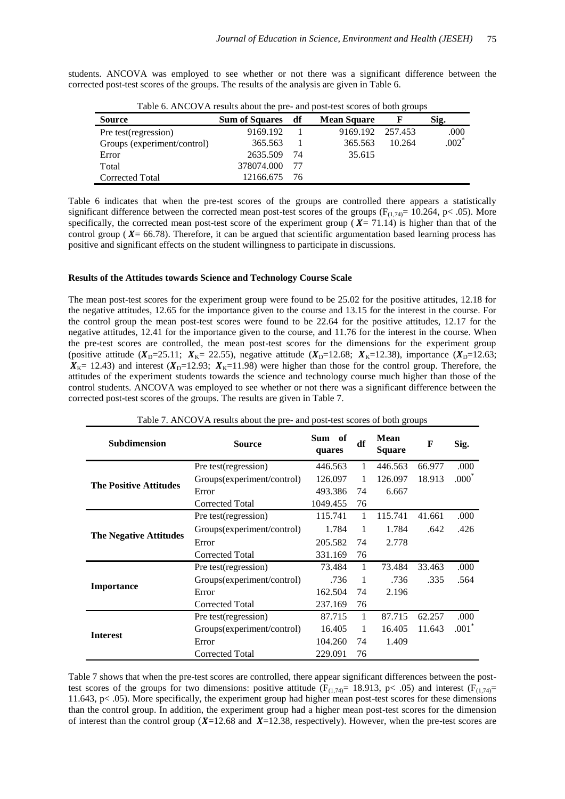students. ANCOVA was employed to see whether or not there was a significant difference between the corrected post-test scores of the groups. The results of the analysis are given in Table 6.

| <b>Source</b>               | Twic of three viritosing about the pre- and post-test scores of both groups<br><b>Sum of Squares</b> | df  | <b>Mean Square</b> |        | Sig.    |
|-----------------------------|------------------------------------------------------------------------------------------------------|-----|--------------------|--------|---------|
| Pre test(regression)        | 9169.192                                                                                             |     | 9169.192 257.453   |        | .000    |
| Groups (experiment/control) | 365.563                                                                                              |     | 365.563            | 10.264 | $.002*$ |
| Error                       | 2635.509                                                                                             | -74 | 35.615             |        |         |
| Total                       | 378074.000                                                                                           | -77 |                    |        |         |
| Corrected Total             | 12166.675                                                                                            | -76 |                    |        |         |

Table 6. ANCOVA results about the pre- and post-test scores of both groups

Table 6 indicates that when the pre-test scores of the groups are controlled there appears a statistically significant difference between the corrected mean post-test scores of the groups ( $F_{(1,74)}$ = 10.264, p< .05). More specifically, the corrected mean post-test score of the experiment group ( $X = 71.14$ ) is higher than that of the control group ( $X = 66.78$ ). Therefore, it can be argued that scientific argumentation based learning process has positive and significant effects on the student willingness to participate in discussions.

#### **Results of the Attitudes towards Science and Technology Course Scale**

The mean post-test scores for the experiment group were found to be 25.02 for the positive attitudes, 12.18 for the negative attitudes, 12.65 for the importance given to the course and 13.15 for the interest in the course. For the control group the mean post-test scores were found to be 22.64 for the positive attitudes, 12.17 for the negative attitudes, 12.41 for the importance given to the course, and 11.76 for the interest in the course. When the pre-test scores are controlled, the mean post-test scores for the dimensions for the experiment group (positive attitude  $(X_D = 25.11; X_K = 22.55)$ , negative attitude  $(X_D = 12.68; X_K = 12.38)$ , importance  $(X_D = 12.63; X_K = 12.64)$  $X_{K}= 12.43$ ) and interest ( $X_{D}=12.93$ ;  $X_{K}=11.98$ ) were higher than those for the control group. Therefore, the attitudes of the experiment students towards the science and technology course much higher than those of the control students. ANCOVA was employed to see whether or not there was a significant difference between the corrected post-test scores of the groups. The results are given in Table 7.

| Table 7. ANCOVA results about the pre- and post-test scores of both groups |                            |                  |    |                              |        |                     |
|----------------------------------------------------------------------------|----------------------------|------------------|----|------------------------------|--------|---------------------|
| <b>Subdimension</b>                                                        | <b>Source</b>              | Sum of<br>quares | df | <b>Mean</b><br><b>Square</b> | F      | Sig.                |
|                                                                            | Pre test(regression)       | 446.563          | 1  | 446.563                      | 66.977 | .000                |
|                                                                            | Groups(experiment/control) | 126.097          | 1  | 126.097                      | 18.913 | $.000^*$            |
| <b>The Positive Attitudes</b>                                              | Error                      | 493.386          | 74 | 6.667                        |        |                     |
|                                                                            | Corrected Total            | 1049.455         | 76 |                              |        |                     |
|                                                                            | Pre test(regression)       | 115.741          | 1  | 115.741                      | 41.661 | .000                |
|                                                                            | Groups(experiment/control) | 1.784            | 1  | 1.784                        | .642   | .426                |
| <b>The Negative Attitudes</b>                                              | Error                      | 205.582          | 74 | 2.778                        |        |                     |
|                                                                            | Corrected Total            | 331.169          | 76 |                              |        |                     |
|                                                                            | Pre test(regression)       | 73.484           | 1  | 73.484                       | 33.463 | .000                |
|                                                                            | Groups(experiment/control) | .736             | 1  | .736                         | .335   | .564                |
| Importance                                                                 | Error                      | 162.504          | 74 | 2.196                        |        |                     |
|                                                                            | Corrected Total            | 237.169          | 76 |                              |        |                     |
|                                                                            | Pre test(regression)       | 87.715           | 1  | 87.715                       | 62.257 | .000                |
| <b>Interest</b>                                                            | Groups(experiment/control) | 16.405           | 1  | 16.405                       | 11.643 | $.001$ <sup>*</sup> |
|                                                                            | Error                      | 104.260          | 74 | 1.409                        |        |                     |
|                                                                            | Corrected Total            | 229.091          | 76 |                              |        |                     |

Table 7 shows that when the pre-test scores are controlled, there appear significant differences between the posttest scores of the groups for two dimensions: positive attitude ( $F_{(1,74)}= 18.913$ , p< .05) and interest ( $F_{(1,74)}=$ 11.643, p< .05). More specifically, the experiment group had higher mean post-test scores for these dimensions than the control group. In addition, the experiment group had a higher mean post-test scores for the dimension of interest than the control group  $(X=12.68$  and  $X=12.38$ , respectively). However, when the pre-test scores are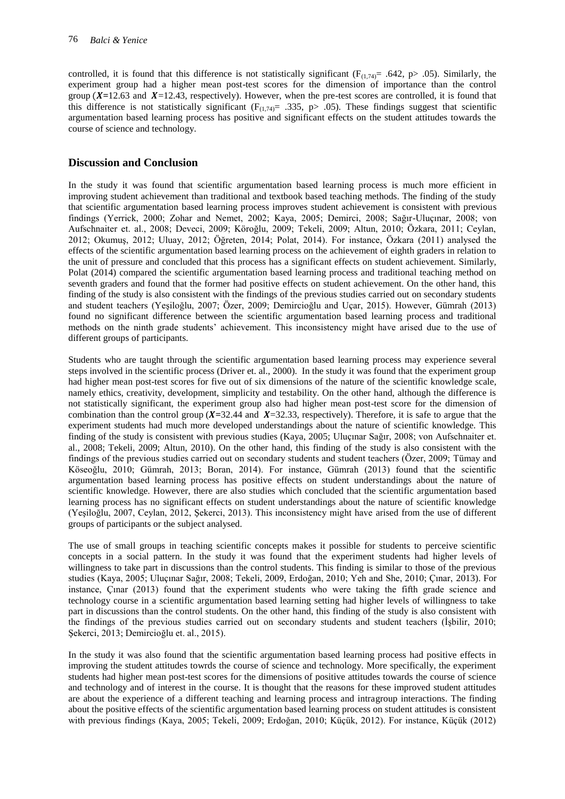controlled, it is found that this difference is not statistically significant ( $F_{(1,74)}=$  .642, p> .05). Similarly, the experiment group had a higher mean post-test scores for the dimension of importance than the control group  $(X=12.63$  and  $X=12.43$ , respectively). However, when the pre-test scores are controlled, it is found that this difference is not statistically significant ( $F_{(1,74)}$ = .335, p> .05). These findings suggest that scientific argumentation based learning process has positive and significant effects on the student attitudes towards the course of science and technology.

# **Discussion and Conclusion**

In the study it was found that scientific argumentation based learning process is much more efficient in improving student achievement than traditional and textbook based teaching methods. The finding of the study that scientific argumentation based learning process improves student achievement is consistent with previous findings (Yerrick, 2000; Zohar and Nemet, 2002; Kaya, 2005; Demirci, 2008; Sağır-Uluçınar, 2008; von Aufschnaiter et. al., 2008; Deveci, 2009; Köroğlu, 2009; Tekeli, 2009; Altun, 2010; Özkara, 2011; Ceylan, 2012; Okumuş, 2012; Uluay, 2012; Öğreten, 2014; Polat, 2014). For instance, Özkara (2011) analysed the effects of the scientific argumentation based learning process on the achievement of eighth graders in relation to the unit of pressure and concluded that this process has a significant effects on student achievement. Similarly, Polat (2014) compared the scientific argumentation based learning process and traditional teaching method on seventh graders and found that the former had positive effects on student achievement. On the other hand, this finding of the study is also consistent with the findings of the previous studies carried out on secondary students and student teachers (Yeşiloğlu, 2007; Özer, 2009; Demircioğlu and Uçar, 2015). However, Gümrah (2013) found no significant difference between the scientific argumentation based learning process and traditional methods on the ninth grade students' achievement. This inconsistency might have arised due to the use of different groups of participants.

Students who are taught through the scientific argumentation based learning process may experience several steps involved in the scientific process (Driver et. al., 2000). In the study it was found that the experiment group had higher mean post-test scores for five out of six dimensions of the nature of the scientific knowledge scale, namely ethics, creativity, development, simplicity and testability. On the other hand, although the difference is not statistically significant, the experiment group also had higher mean post-test score for the dimension of combination than the control group ( $X=32.44$  and  $X=32.33$ , respectively). Therefore, it is safe to argue that the experiment students had much more developed understandings about the nature of scientific knowledge. This finding of the study is consistent with previous studies (Kaya, 2005; Uluçınar Sağır, 2008; von Aufschnaiter et. al., 2008; Tekeli, 2009; Altun, 2010). On the other hand, this finding of the study is also consistent with the findings of the previous studies carried out on secondary students and student teachers (Özer, 2009; Tümay and Köseoğlu, 2010; Gümrah, 2013; Boran, 2014). For instance, Gümrah (2013) found that the scientific argumentation based learning process has positive effects on student understandings about the nature of scientific knowledge. However, there are also studies which concluded that the scientific argumentation based learning process has no significant effects on student understandings about the nature of scientific knowledge (Yeşiloğlu, 2007, Ceylan, 2012, Şekerci, 2013). This inconsistency might have arised from the use of different groups of participants or the subject analysed.

The use of small groups in teaching scientific concepts makes it possible for students to perceive scientific concepts in a social pattern. In the study it was found that the experiment students had higher levels of willingness to take part in discussions than the control students. This finding is similar to those of the previous studies (Kaya, 2005; Uluçınar Sağır, 2008; Tekeli, 2009, Erdoğan, 2010; Yeh and She, 2010; Çınar, 2013). For instance, Çınar (2013) found that the experiment students who were taking the fifth grade science and technology course in a scientific argumentation based learning setting had higher levels of willingness to take part in discussions than the control students. On the other hand, this finding of the study is also consistent with the findings of the previous studies carried out on secondary students and student teachers (İşbilir, 2010; Şekerci, 2013; Demircioğlu et. al., 2015).

In the study it was also found that the scientific argumentation based learning process had positive effects in improving the student attitudes towrds the course of science and technology. More specifically, the experiment students had higher mean post-test scores for the dimensions of positive attitudes towards the course of science and technology and of interest in the course. It is thought that the reasons for these improved student attitudes are about the experience of a different teaching and learning process and intragroup interactions. The finding about the positive effects of the scientific argumentation based learning process on student attitudes is consistent with previous findings (Kaya, 2005; Tekeli, 2009; Erdoğan, 2010; Küçük, 2012). For instance, Küçük (2012)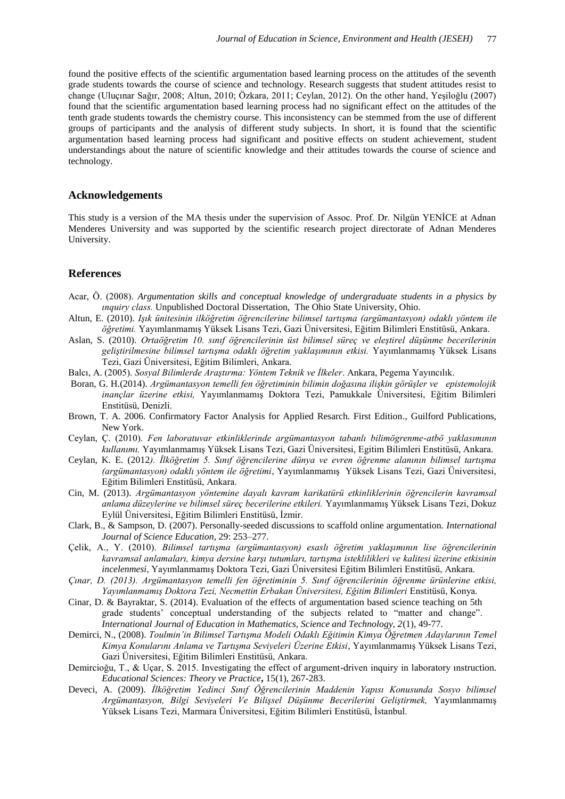found the positive effects of the scientific argumentation based learning process on the attitudes of the seventh grade students towards the course of science and technology. Research suggests that student attitudes resist to change (Uluçınar Sağır, 2008; Altun, 2010; Özkara, 2011; Ceylan, 2012). On the other hand, Yeşiloğlu (2007) found that the scientific argumentation based learning process had no significant effect on the attitudes of the tenth grade students towards the chemistry course. This inconsistency can be stemmed from the use of different groups of participants and the analysis of different study subjects. In short, it is found that the scientific argumentation based learning process had significant and positive effects on student achievement, student understandings about the nature of scientific knowledge and their attitudes towards the course of science and technology.

# **Acknowledgements**

This study is a version of the MA thesis under the supervision of Assoc. Prof. Dr. Nilgün YENİCE at Adnan Menderes University and was supported by the scientific research project directorate of Adnan Menderes University.

# **References**

- Acar, Ö. (2008). *Argumentation skills and conceptual knowledge of undergraduate students in a physics by ınquiry class.* Unpublished Doctoral Dissertation, The Ohio State University, Ohio.
- Altun, E. (2010). *Işık ünitesinin ilköğretim öğrencilerine bilimsel tartışma (argümantasyon) odaklı yöntem ile öğretimi.* Yayımlanmamış Yüksek Lisans Tezi, Gazi Üniversitesi, Eğitim Bilimleri Enstitüsü, Ankara.
- Aslan, S. (2010). *Ortaöğretim 10. sınıf öğrencilerinin üst bilimsel süreç ve eleştirel düşünme becerilerinin geliştirilmesine bilimsel tartışma odaklı öğretim yaklaşımının etkisi.* Yayımlanmamış Yüksek Lisans Tezi, Gazi Üniversitesi, Eğitim Bilimleri, Ankara.
- Balcı, A. (2005). *Sosyal Bilimlerde Araştırma: Yöntem Teknik ve İlkeler*. Ankara, Pegema Yayıncılık.
- Boran, G. H.(2014). *Argümantasyon temelli fen öğretiminin bilimin doğasına ilişkin görüşler ve epistemolojik inançlar üzerine etkisi,* Yayımlanmamış Doktora Tezi, Pamukkale Üniversitesi, Eğitim Bilimleri Enstitüsü, Denizli.
- Brown, T. A. 2006. Confirmatory Factor Analysis for Applied Resarch. First Edition., Guilford Publications, New York.
- Ceylan, Ç. (2010). *Fen laboratuvar etkinliklerinde argümantasyon tabanlı bilimögrenme-atbö yaklasımının kullanımı.* Yayımlanmamış Yüksek Lisans Tezi, Gazi Üniversitesi, Egitim Bilimleri Enstitüsü, Ankara.
- Ceylan, K. E. (2012*). İlköğretim 5. Sınıf öğrencilerine dünya ve evren öğrenme alanının bilimsel tartışma (argümantasyon) odaklı yöntem ile öğretimi*, Yayımlanmamış Yüksek Lisans Tezi, Gazi Üniversitesi, Eğitim Bilimleri Enstitüsü, Ankara.
- Cin, M. (2013). *Argümantasyon yöntemine dayalı kavram karikatürü etkinliklerinin öğrencilerin kavramsal anlama düzeylerine ve bilimsel süreç becerilerine etkileri.* Yayımlanmamış Yüksek Lisans Tezi, Dokuz Eylül Üniversitesi, Eğitim Bilimleri Enstitüsü, İzmir.
- Clark, B., & Sampson, D. (2007). Personally-seeded discussions to scaffold online argumentation. *International Journal of Science Education*, 29: 253–277.
- Çelik, A., Y. (2010). *Bilimsel tartışma (argümantasyon) esaslı öğretim yaklaşımının lise öğrencilerinin kavramsal anlamaları, kimya dersine karşı tutumları, tartışma isteklilikleri ve kalitesi üzerine etkisinin incelenmesi*, Yayımlanmamış Doktora Tezi, Gazi Üniversitesi Eğitim Bilimleri Enstitüsü, Ankara.
- *Çınar, D. (2013). Argümantasyon temelli fen öğretiminin 5. Sınıf öğrencilerinin öğrenme ürünlerine etkisi, Yayımlanmamış Doktora Tezi, Necmettin Erbakan Üniversitesi, Eğitim Bilimleri* Enstitüsü, Konya.
- Cinar, D. & Bayraktar, S. (2014). Evaluation of the effects of argumentation based science teaching on 5th grade students' conceptual understanding of the subjects related to "matter and change". *International Journal of Education in Mathematics, Science and Technology, 2*(1), 49-77.
- Demirci, N., (2008). *Toulmin'in Bilimsel Tartışma Modeli Odaklı Eğitimin Kimya Öğretmen Adaylarının Temel Kimya Konularını Anlama ve Tartışma Seviyeleri Üzerine Etkisi*, Yayımlanmamış Yüksek Lisans Tezi, Gazi Üniversitesi, Eğitim Bilimleri Enstitüsü, Ankara.
- Demircioğu, T., & Uçar, S. 2015. Investigating the effect of argument-driven inquiry in laboratory ınstruction. *Educational Sciences: Theory ve Practice***,** 15(1), 267-283.
- Deveci, A. (2009). *İlköğretim Yedinci Sınıf Öğrencilerinin Maddenin Yapısı Konusunda Sosyo bilimsel Argümantasyon, Bilgi Seviyeleri Ve Bilişsel Düşünme Becerilerini Geliştirmek,* Yayımlanmamış Yüksek Lisans Tezi, Marmara Üniversitesi, Eğitim Bilimleri Enstitüsü, İstanbul.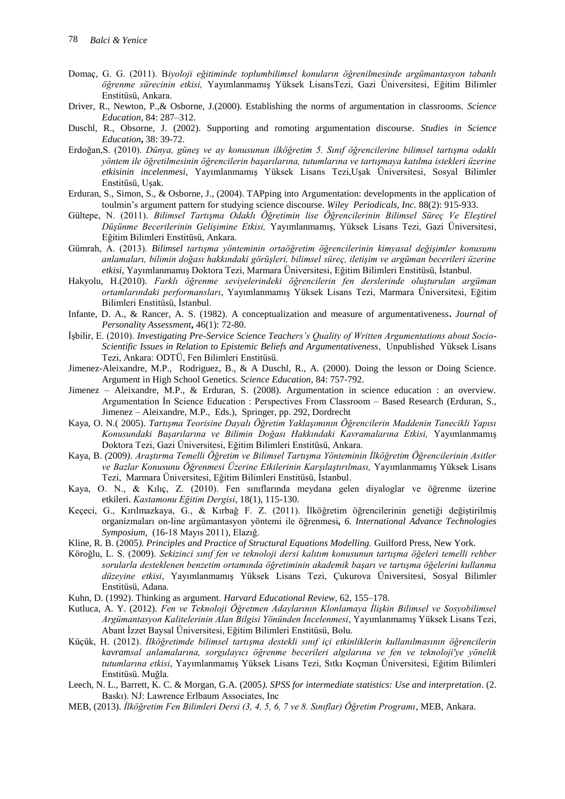- Domaç, G. G. (2011). B*iyoloji eğitiminde toplumbilimsel konuların öğrenilmesinde argümantasyon tabanlı öğrenme sürecinin etkisi,* Yayımlanmamış Yüksek LisansTezi, Gazi Üniversitesi, Eğitim Bilimler Enstitüsü, Ankara.
- Driver, R., Newton, P.,& Osborne, J.(2000). Establishing the norms of argumentation in classrooms. *Science Education*, 84: 287–312.
- Duschl, R., Obsorne, J. (2002). Supporting and romoting argumentation discourse*. Studies in Science Education***,** 38: 39-72.
- Erdoğan,S. (2010). *Dünya, güneş ve ay konusunun ilköğretim 5. Sınıf öğrencilerine bilimsel tartışma odaklı yöntem ile öğretilmesinin öğrencilerin başarılarına, tutumlarına ve tartışmaya katılma istekleri üzerine etkisinin incelenmesi,* Yayımlanmamış Yüksek Lisans Tezi,Uşak Üniversitesi, Sosyal Bilimler Enstitüsü, Uşak.
- Erduran, S., Simon, S., & Osborne, J., (2004). TAPping into Argumentation: developments in the application of toulmin's argument pattern for studying science discourse. *Wiley Periodicals, Inc.* 88(2): 915-933.
- Gültepe, N. (2011). *Bilimsel Tartışma Odaklı Öğretimin lise Öğrencilerinin Bilimsel Süreç Ve Eleştirel Düşünme Becerilerinin Gelişimine Etkisi,* Yayımlanmamış, Yüksek Lisans Tezi, Gazi Üniversitesi, Eğitim Bilimleri Enstitüsü, Ankara.
- Gümrah, A. (2013). *Bilimsel tartışma yönteminin ortaöğretim öğrencilerinin kimyasal değişimler konusunu anlamaları, bilimin doğası hakkındaki görüşleri, bilimsel süreç, iletişim ve argüman becerileri üzerine etkisi*, Yayımlanmamış Doktora Tezi, Marmara Üniversitesi, Eğitim Bilimleri Enstitüsü, İstanbul.
- Hakyolu, H.(2010). *Farklı öğrenme seviyelerindeki öğrencilerin fen derslerinde oluşturulan argüman ortamlarındaki performansları*, Yayımlanmamış Yüksek Lisans Tezi, Marmara Üniversitesi, Eğitim Bilimleri Enstitüsü, İstanbul.
- Infante, D. A., & Rancer, A. S. (1982). A conceptualization and measure of argumentativeness**.** *Journal of Personality Assessment***,** 46(1): 72-80.
- İşbilir, E. (2010). *Investigating Pre-Service Science Teachers's Quality of Written Argumentations about Socio-Scientific Issues in Relation to Epistemic Beliefs and Argumentativeness*, Unpublished Yüksek Lisans Tezi, Ankara: ODTÜ, Fen Bilimleri Enstitüsü.
- Jimenez-Aleixandre, M.P., Rodriguez, B., & A Duschl, R., A. (2000). Doing the lesson or Doing Science. Argument in High School Genetics. *Science Education,* 84: 757-792.
- Jimenez Aleixandre, M.P., & Erduran, S. (2008). Argumentation in science education : an overview. Argumentation İn Science Education : Perspectives From Classroom – Based Research (Erduran, S., Jimenez – Aleixandre, M.P., Eds.), Springer, pp. 292, Dordrecht
- Kaya, O. N.( 2005). *Tartışma Teorisine Dayalı Öğretim Yaklaşımının Öğrencilerin Maddenin Tanecikli Yapısı Konusundaki Başarılarına ve Bilimin Doğası Hakkındaki Kavramalarına Etkisi,* Yayımlanmamış Doktora Tezi, Gazi Üniversitesi, Eğitim Bilimleri Enstitüsü, Ankara.
- Kaya, B. *(*2009*)*. *Araştırma Temelli Öğretim ve Bilimsel Tartışma Yönteminin İlköğretim Öğrencilerinin Asitler ve Bazlar Konusunu Öğrenmesi Üzerine Etkilerinin Karşılaştırılması,* Yayımlanmamış Yüksek Lisans Tezi, Marmara Üniversitesi, Eğitim Bilimleri Enstitüsü, İstanbul.
- Kaya, O. N., & Kılıç, Z. (2010). Fen sınıflarında meydana gelen diyaloglar ve öğrenme üzerine etkileri. *Kastamonu Eğitim Dergisi*, 18(1), 115-130.
- Keçeci, G., Kırılmazkaya, G., & Kırbağ F. Z. (2011). İlköğretim öğrencilerinin genetiği değiştirilmiş organizmaları on-line argümantasyon yöntemi ile öğrenmesi*, 6. International Advance Technologies Symposium*, (16-18 Mayıs 2011), Elazığ.
- Kline, R. B. (2005*). Principles and Practice of Structural Equations Modelling.* Guilford Press, New York.
- Köroğlu, L. S. (2009). *Sekizinci sınıf fen ve teknoloji dersi kalıtım konusunun tartışma öğeleri temelli rehber sorularla desteklenen benzetim ortamında öğretiminin akademik başarı ve tartışma öğelerini kullanma düzeyine etkisi*, Yayımlanmamış Yüksek Lisans Tezi, Çukurova Üniversitesi, Sosyal Bilimler Enstitüsü, Adana.
- Kuhn, D. (1992). Thinking as argument. *Harvard Educational Review*, 62, 155–178.
- Kutluca, A. Y. (2012). *Fen ve Teknoloji Öğretmen Adaylarının Klonlamaya İlişkin Bilimsel ve Sosyobilimsel Argümantasyon Kalitelerinin Alan Bilgisi Yönünden İncelenmesi*, Yayımlanmamış Yüksek Lisans Tezi, Abant İzzet Baysal Üniversitesi, Eğitim Bilimleri Enstitüsü, Bolu.
- Küçük, H. (2012). *İlköğretimde bilimsel tartışma destekli sınıf içi etkinliklerin kullanılmasının öğrencilerin kavramsal anlamalarına, sorgulayıcı öğrenme becerileri algılarına ve fen ve teknoloji'ye yönelik tutumlarına etkisi*, Yayımlanmamış Yüksek Lisans Tezi, Sıtkı Koçman Üniversitesi, Eğitim Bilimleri Enstitüsü. Muğla.
- Leech, N. L., Barrett, K. C. & Morgan, G.A. (2005*). SPSS for intermediate statistics: Use and interpretation*. (2. Baskı). NJ: Lawrence Erlbaum Associates, Inc
- MEB, (2013). *İlköğretim Fen Bilimleri Dersi (3, 4, 5, 6, 7 ve 8. Sınıflar) Öğretim Programı*, MEB, Ankara.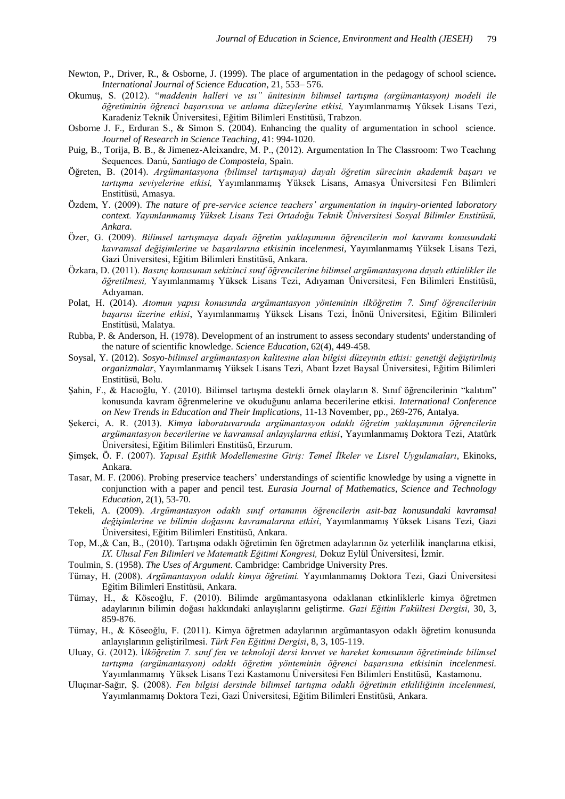- Newton, P., Driver, R., & Osborne, J. (1999). The place of argumentation in the pedagogy of school science*. International Journal of Science Education*, 21, 553– 576.
- Okumuş, S. (2012). "*maddenin halleri ve ısı" ünitesinin bilimsel tartışma (argümantasyon) modeli ile öğretiminin öğrenci başarısına ve anlama düzeylerine etkisi,* Yayımlanmamış Yüksek Lisans Tezi, Karadeniz Teknik Üniversitesi, Eğitim Bilimleri Enstitüsü, Trabzon.
- Osborne J. F., Erduran S., & Simon S. (2004). Enhancing the quality of argumentation in school science. *Journel of Research in Science Teaching*, 41: 994-1020.
- Puig, B., Torija, B. B., & Jimenez-Aleixandre, M. P., (2012). Argumentation In The Classroom: Two Teachıng Sequences. Danú, *Santiago de Compostela*, Spain.
- Öğreten, B. (2014). *Argümantasyona (bilimsel tartışmaya) dayalı öğretim sürecinin akademik başarı ve tartışma seviyelerine etkisi,* Yayımlanmamış Yüksek Lisans, Amasya Üniversitesi Fen Bilimleri Enstitüsü, Amasya.
- Özdem, Y. (2009). *The nature of pre-service science teachers' argumentation in inquiry-oriented laboratory context. Yayımlanmamış Yüksek Lisans Tezi Ortadoğu Teknik Üniversitesi Sosyal Bilimler Enstitüsü, Ankara.*
- Özer, G. (2009). *Bilimsel tartışmaya dayalı öğretim yaklaşımının öğrencilerin mol kavramı konusundaki kavramsal değişimlerine ve başarılarına etkisinin incelenmesi,* Yayımlanmamış Yüksek Lisans Tezi, Gazi Üniversitesi, Eğitim Bilimleri Enstitüsü, Ankara.
- Özkara, D. (2011). *Basınç konusunun sekizinci sınıf öğrencilerine bilimsel argümantasyona dayalı etkinlikler ile öğretilmesi,* Yayımlanmamış Yüksek Lisans Tezi, Adıyaman Üniversitesi, Fen Bilimleri Enstitüsü, Adıyaman.
- Polat, H. (2014). *Atomun yapısı konusunda argümantasyon yönteminin ilköğretim 7. Sınıf öğrencilerinin başarısı üzerine etkisi*, Yayımlanmamış Yüksek Lisans Tezi, İnönü Üniversitesi, Eğitim Bilimleri Enstitüsü, Malatya.
- Rubba, P. & Anderson, H. (1978). Development of an instrument to assess secondary students' understanding of the nature of scientific knowledge. *Science Education*, 62(4), 449-458.
- Soysal, Y. (2012). *Sosyo-bilimsel argümantasyon kalitesine alan bilgisi düzeyinin etkisi: genetiği değiştirilmiş organizmalar*, Yayımlanmamış Yüksek Lisans Tezi, Abant İzzet Baysal Üniversitesi, Eğitim Bilimleri Enstitüsü, Bolu.
- Şahin, F., & Hacıoğlu, Y. (2010). Bilimsel tartışma destekli örnek olayların 8. Sınıf öğrencilerinin "kalıtım" konusunda kavram öğrenmelerine ve okuduğunu anlama becerilerine etkisi. *International Conference on New Trends in Education and Their Implications,* 11-13 November, pp., 269-276, Antalya.
- Şekerci, A. R. (2013). *Kimya laboratuvarında argümantasyon odaklı öğretim yaklaşımının öğrencilerin argümantasyon becerilerine ve kavramsal anlayışlarına etkisi*, Yayımlanmamış Doktora Tezi, Atatürk Üniversitesi, Eğitim Bilimleri Enstitüsü, Erzurum.
- Şimşek, Ö. F. (2007). *Yapısal Eşitlik Modellemesine Giriş: Temel İlkeler ve Lisrel Uygulamaları*, Ekinoks, Ankara.
- Tasar, M. F. (2006). Probing preservice teachers' understandings of scientific knowledge by using a vignette in conjunction with a paper and pencil test. *Eurasia Journal of Mathematics, Science and Technology Education*, 2(1), 53-70.
- Tekeli, A. (2009). *Argümantasyon odaklı sınıf ortamının öğrencilerin asit-baz konusundaki kavramsal değişimlerine ve bilimin doğasını kavramalarına etkisi*, Yayımlanmamış Yüksek Lisans Tezi, Gazi Üniversitesi, Eğitim Bilimleri Enstitüsü, Ankara.
- Top, M.,& Can, B., (2010). Tartışma odaklı öğretimin fen öğretmen adaylarının öz yeterlilik inançlarına etkisi, *IX. Ulusal Fen Bilimleri ve Matematik Eğitimi Kongresi,* Dokuz Eylül Üniversitesi, İzmir.
- Toulmin, S. (1958). *The Uses of Argument*. Cambridge: Cambridge University Pres.
- Tümay, H. (2008). *Argümantasyon odaklı kimya öğretimi.* Yayımlanmamış Doktora Tezi, Gazi Üniversitesi Eğitim Bilimleri Enstitüsü, Ankara.
- Tümay, H., & Köseoğlu, F. (2010). Bilimde argümantasyona odaklanan etkinliklerle kimya öğretmen adaylarının bilimin doğası hakkındaki anlayışlarını geliştirme. *Gazi Eğitim Fakültesi Dergisi*, 30, 3, 859-876.
- Tümay, H., & Köseoğlu, F. (2011). Kimya öğretmen adaylarının argümantasyon odaklı öğretim konusunda anlayışlarının geliştirilmesi. *Türk Fen Eğitimi Dergisi*, 8, 3, 105-119.
- Uluay, G. (2012). İ*lköğretim 7. sınıf fen ve teknoloji dersi kuvvet ve hareket konusunun öğretiminde bilimsel tartışma (argümantasyon) odaklı öğretim yönteminin öğrenci başarısına etkisinin incelenmesi.*  Yayımlanmamış Yüksek Lisans Tezi Kastamonu Üniversitesi Fen Bilimleri Enstitüsü, Kastamonu*.*
- Uluçınar-Sağır, Ş. (2008). *Fen bilgisi dersinde bilimsel tartışma odaklı öğretimin etkililiğinin incelenmesi,* Yayımlanmamış Doktora Tezi, Gazi Üniversitesi, Eğitim Bilimleri Enstitüsü, Ankara.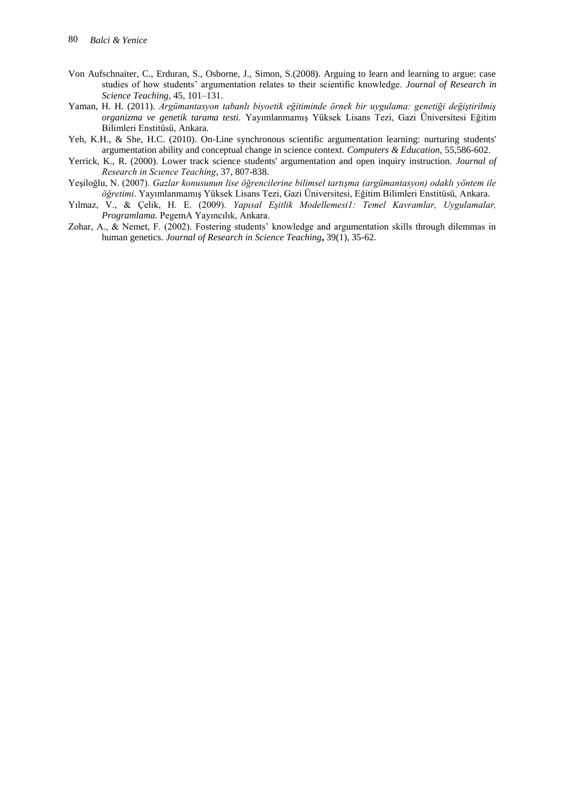- Von Aufschnaiter, C., Erduran, S., Osborne, J., Simon, S.(2008). Arguing to learn and learning to argue: case studies of how students' argumentation relates to their scientific knowledge. *Journal of Research in Science Teaching,* 45, 101–131.
- Yaman, H. H. (2011). *Argümantasyon tabanlı biyoetik eğitiminde örnek bir uygulama: genetiği değiştirilmiş organizma ve genetik tarama testi.* Yayımlanmamış Yüksek Lisans Tezi, Gazi Üniversitesi Eğitim Bilimleri Enstitüsü, Ankara.
- Yeh, K.H., & She, H.C. (2010). On-Line synchronous scientific argumentation learning: nurturing students' argumentation ability and conceptual change in science context. *Computers & Education,* 55,586-602.
- Yerrick, K., R. (2000). Lower track science students' argumentation and open inquiry instruction. *Journal of Research in Scıence Teaching*, 37, 807-838.
- Yeşiloğlu, N. (2007). *Gazlar konusunun lise öğrencilerine bilimsel tartışma (argümantasyon) odaklı yöntem ile öğretimi*. Yayımlanmamış Yüksek Lisans Tezi, Gazi Üniversitesi, Eğitim Bilimleri Enstitüsü, Ankara.
- Yılmaz, V., & Çelik, H. E. (2009). *Yapısal Eşitlik Modellemesi1: Temel Kavramlar, Uygulamalar, Programlama.* PegemA Yayıncılık, Ankara.
- Zohar, A., & Nemet, F. (2002). Fostering students' knowledge and argumentation skills through dilemmas in human genetics. *Journal of Research in Science Teaching***,** 39(1), 35-62.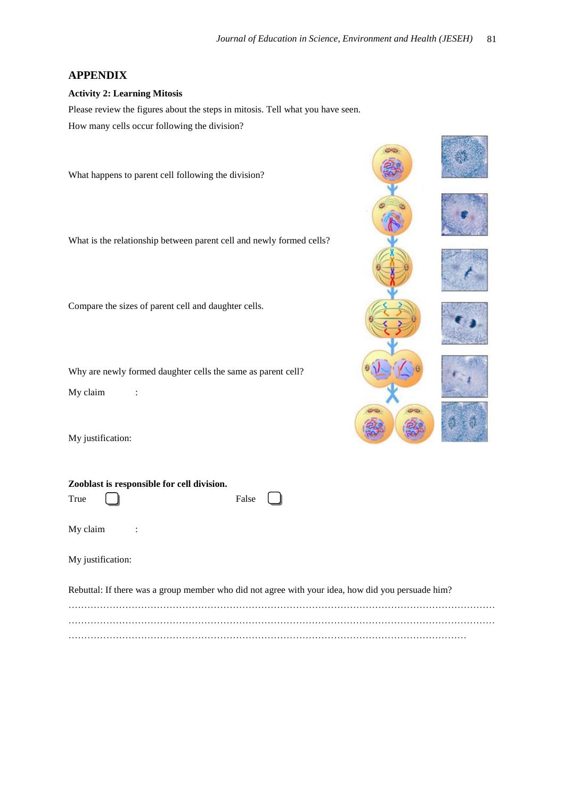# **APPENDIX**

# **Activity 2: Learning Mitosis**

Please review the figures about the steps in mitosis. Tell what you have seen. How many cells occur following the division?

What happens to parent cell following the division?

What is the relationship between parent cell and newly formed cells?

Compare the sizes of parent cell and daughter cells.

**Zooblast is responsible for cell division.** 

Why are newly formed daughter cells the same as parent cell?

My claim :

My justification:



| True                                                                                              | False |  |  |  |
|---------------------------------------------------------------------------------------------------|-------|--|--|--|
| My claim<br>$\sim 10$                                                                             |       |  |  |  |
| My justification:                                                                                 |       |  |  |  |
| Rebuttal: If there was a group member who did not agree with your idea, how did you persuade him? |       |  |  |  |
|                                                                                                   |       |  |  |  |
|                                                                                                   |       |  |  |  |

………………………………………………………………………………………………………………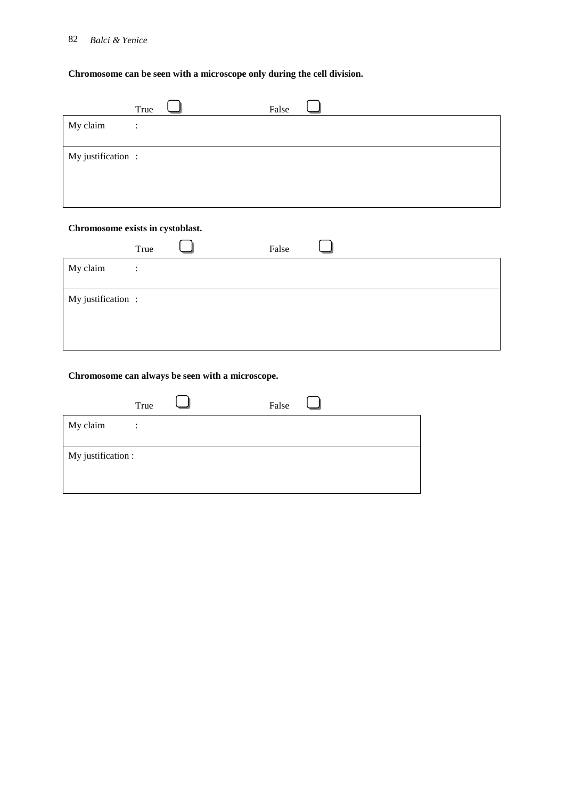# 82 *Balci & Yenice*

# **Chromosome can be seen with a microscope only during the cell division.**

|                   | True                   | False |  |
|-------------------|------------------------|-------|--|
| My claim          | $\bullet$<br>$\bullet$ |       |  |
| My justification: |                        |       |  |

# **Chromosome exists in cystoblast.**

|                   | True           | False |  |
|-------------------|----------------|-------|--|
| My claim          | $\ddot{\cdot}$ |       |  |
| My justification: |                |       |  |
|                   |                |       |  |

# **Chromosome can always be seen with a microscope.**

|                    | True           | False |  |
|--------------------|----------------|-------|--|
| My claim           | $\ddot{\cdot}$ |       |  |
| My justification : |                |       |  |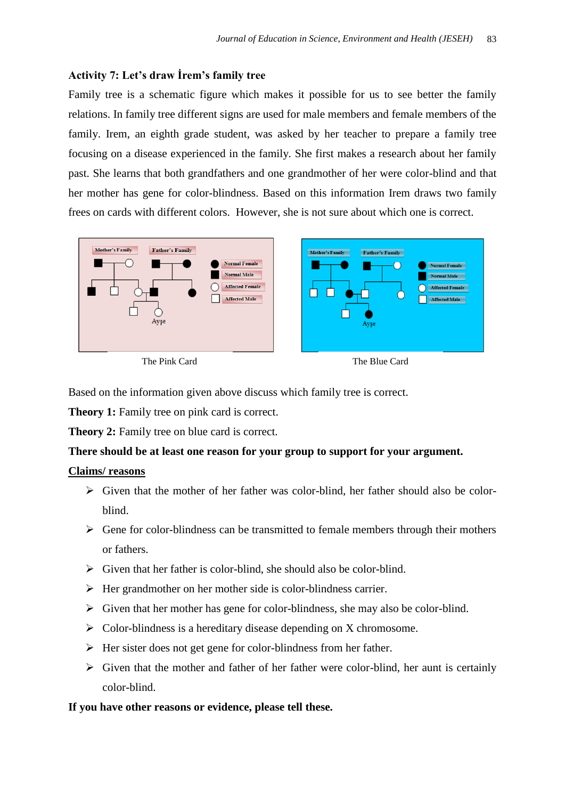# **Activity 7: Let's draw İrem's family tree**

Family tree is a schematic figure which makes it possible for us to see better the family relations. In family tree different signs are used for male members and female members of the family. Irem, an eighth grade student, was asked by her teacher to prepare a family tree focusing on a disease experienced in the family. She first makes a research about her family past. She learns that both grandfathers and one grandmother of her were color-blind and that her mother has gene for color-blindness. Based on this information Irem draws two family frees on cards with different colors. However, she is not sure about which one is correct.



Based on the information given above discuss which family tree is correct.

**Theory 1:** Family tree on pink card is correct.

**Theory 2:** Family tree on blue card is correct.

# **There should be at least one reason for your group to support for your argument.**

# **Claims/ reasons**

- $\triangleright$  Given that the mother of her father was color-blind, her father should also be colorblind.
- $\triangleright$  Gene for color-blindness can be transmitted to female members through their mothers or fathers.
- $\triangleright$  Given that her father is color-blind, she should also be color-blind.
- $\triangleright$  Her grandmother on her mother side is color-blindness carrier.
- $\triangleright$  Given that her mother has gene for color-blindness, she may also be color-blind.
- $\triangleright$  Color-blindness is a hereditary disease depending on X chromosome.
- $\triangleright$  Her sister does not get gene for color-blindness from her father.
- $\triangleright$  Given that the mother and father of her father were color-blind, her aunt is certainly color-blind.

# **If you have other reasons or evidence, please tell these.**